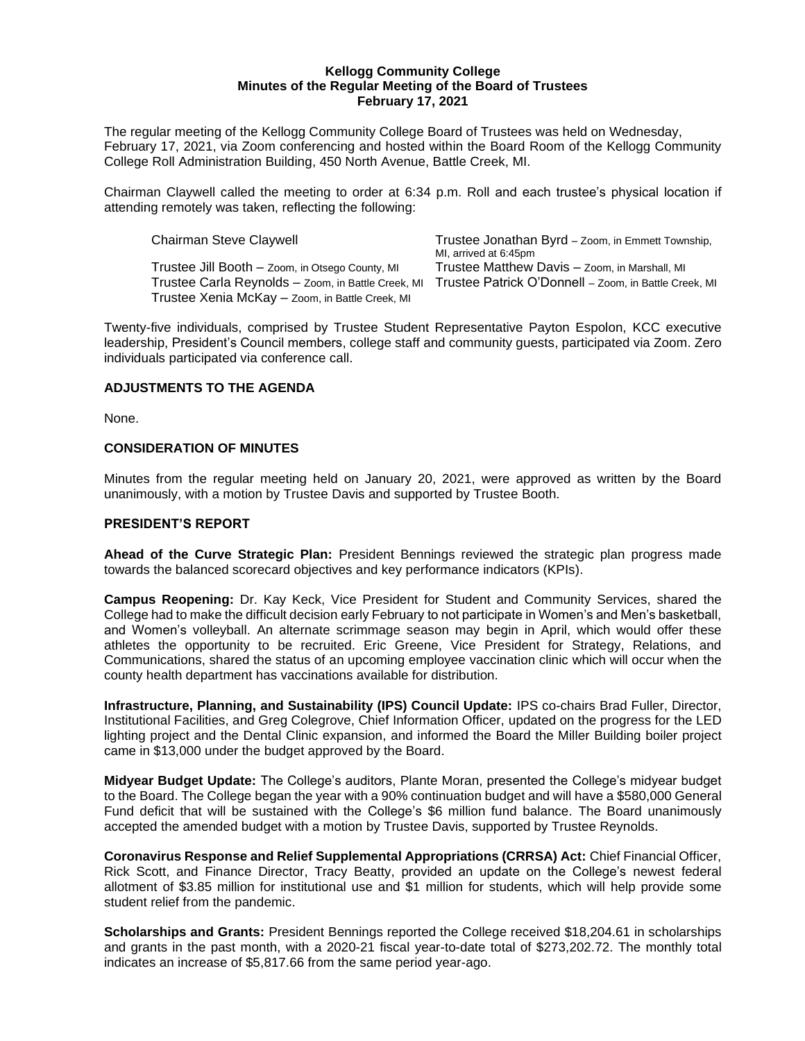#### **Kellogg Community College Minutes of the Regular Meeting of the Board of Trustees February 17, 2021**

The regular meeting of the Kellogg Community College Board of Trustees was held on Wednesday, February 17, 2021, via Zoom conferencing and hosted within the Board Room of the Kellogg Community College Roll Administration Building, 450 North Avenue, Battle Creek, MI.

Chairman Claywell called the meeting to order at 6:34 p.m. Roll and each trustee's physical location if attending remotely was taken, reflecting the following:

| <b>Chairman Steve Claywell</b>                     | Trustee Jonathan Byrd - Zoom, in Emmett Township,     |
|----------------------------------------------------|-------------------------------------------------------|
|                                                    | MI, arrived at 6:45pm                                 |
| Trustee Jill Booth - Zoom, in Otsego County, MI    | Trustee Matthew Davis - Zoom, in Marshall, MI         |
| Trustee Carla Reynolds - Zoom, in Battle Creek, MI | Trustee Patrick O'Donnell - Zoom, in Battle Creek, MI |
| Trustee Xenia McKay - Zoom, in Battle Creek, MI    |                                                       |

Twenty-five individuals, comprised by Trustee Student Representative Payton Espolon, KCC executive leadership, President's Council members, college staff and community guests, participated via Zoom. Zero individuals participated via conference call.

## **ADJUSTMENTS TO THE AGENDA**

None.

## **CONSIDERATION OF MINUTES**

Minutes from the regular meeting held on January 20, 2021, were approved as written by the Board unanimously, with a motion by Trustee Davis and supported by Trustee Booth.

## **PRESIDENT'S REPORT**

**Ahead of the Curve Strategic Plan:** President Bennings reviewed the strategic plan progress made towards the balanced scorecard objectives and key performance indicators (KPIs).

**Campus Reopening:** Dr. Kay Keck, Vice President for Student and Community Services, shared the College had to make the difficult decision early February to not participate in Women's and Men's basketball, and Women's volleyball. An alternate scrimmage season may begin in April, which would offer these athletes the opportunity to be recruited. Eric Greene, Vice President for Strategy, Relations, and Communications, shared the status of an upcoming employee vaccination clinic which will occur when the county health department has vaccinations available for distribution.

**Infrastructure, Planning, and Sustainability (IPS) Council Update:** IPS co-chairs Brad Fuller, Director, Institutional Facilities, and Greg Colegrove, Chief Information Officer, updated on the progress for the LED lighting project and the Dental Clinic expansion, and informed the Board the Miller Building boiler project came in \$13,000 under the budget approved by the Board.

**Midyear Budget Update:** The College's auditors, Plante Moran, presented the College's midyear budget to the Board. The College began the year with a 90% continuation budget and will have a \$580,000 General Fund deficit that will be sustained with the College's \$6 million fund balance. The Board unanimously accepted the amended budget with a motion by Trustee Davis, supported by Trustee Reynolds.

**Coronavirus Response and Relief Supplemental Appropriations (CRRSA) Act:** Chief Financial Officer, Rick Scott, and Finance Director, Tracy Beatty, provided an update on the College's newest federal allotment of \$3.85 million for institutional use and \$1 million for students, which will help provide some student relief from the pandemic.

**Scholarships and Grants:** President Bennings reported the College received \$18,204.61 in scholarships and grants in the past month, with a 2020-21 fiscal year-to-date total of \$273,202.72. The monthly total indicates an increase of \$5,817.66 from the same period year-ago.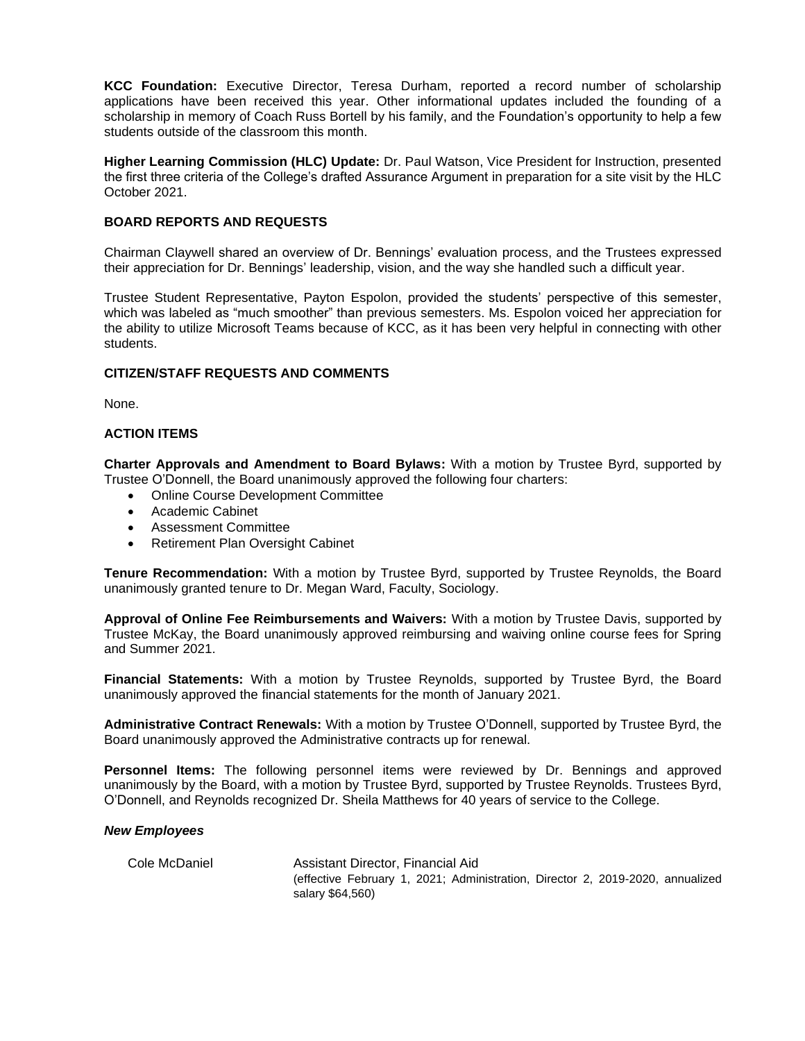**KCC Foundation:** Executive Director, Teresa Durham, reported a record number of scholarship applications have been received this year. Other informational updates included the founding of a scholarship in memory of Coach Russ Bortell by his family, and the Foundation's opportunity to help a few students outside of the classroom this month.

**Higher Learning Commission (HLC) Update:** Dr. Paul Watson, Vice President for Instruction, presented the first three criteria of the College's drafted Assurance Argument in preparation for a site visit by the HLC October 2021.

### **BOARD REPORTS AND REQUESTS**

Chairman Claywell shared an overview of Dr. Bennings' evaluation process, and the Trustees expressed their appreciation for Dr. Bennings' leadership, vision, and the way she handled such a difficult year.

Trustee Student Representative, Payton Espolon, provided the students' perspective of this semester, which was labeled as "much smoother" than previous semesters. Ms. Espolon voiced her appreciation for the ability to utilize Microsoft Teams because of KCC, as it has been very helpful in connecting with other students.

### **CITIZEN/STAFF REQUESTS AND COMMENTS**

None.

### **ACTION ITEMS**

**Charter Approvals and Amendment to Board Bylaws:** With a motion by Trustee Byrd, supported by Trustee O'Donnell, the Board unanimously approved the following four charters:

- Online Course Development Committee
- Academic Cabinet
- Assessment Committee
- Retirement Plan Oversight Cabinet

**Tenure Recommendation:** With a motion by Trustee Byrd, supported by Trustee Reynolds, the Board unanimously granted tenure to Dr. Megan Ward, Faculty, Sociology.

**Approval of Online Fee Reimbursements and Waivers:** With a motion by Trustee Davis, supported by Trustee McKay, the Board unanimously approved reimbursing and waiving online course fees for Spring and Summer 2021.

**Financial Statements:** With a motion by Trustee Reynolds, supported by Trustee Byrd, the Board unanimously approved the financial statements for the month of January 2021.

**Administrative Contract Renewals:** With a motion by Trustee O'Donnell, supported by Trustee Byrd, the Board unanimously approved the Administrative contracts up for renewal.

**Personnel Items:** The following personnel items were reviewed by Dr. Bennings and approved unanimously by the Board, with a motion by Trustee Byrd, supported by Trustee Reynolds. Trustees Byrd, O'Donnell, and Reynolds recognized Dr. Sheila Matthews for 40 years of service to the College.

#### *New Employees*

Cole McDaniel **Assistant Director, Financial Aid** (effective February 1, 2021; Administration, Director 2, 2019-2020, annualized salary \$64,560)